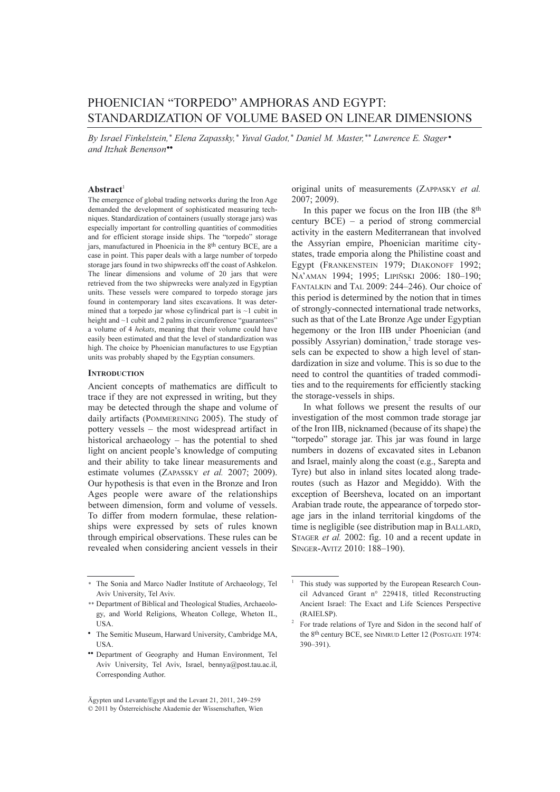# PHOENICIAN "TORPEDO" AMPHORAS AND EGYPT: STANDARDIZATION OF VOLUME BASED ON LINEAR DIMENSIONS

By Israel Finkelstein,\* Elena Zapassky,\* Yuval Gadot,\* Daniel M. Master,\*\* Lawrence E. Stager • and Itzhak Benenson••

## $$

The emergence of global trading networks during the Iron Age demanded the development of sophisticated measuring techniques. Standardization of containers (usually storage jars) was especially important for controlling quantities of commodities and for efficient storage inside ships. The "torpedo" storage jars, manufactured in Phoenicia in the 8th century BCE, are a case in point. This paper deals with a large number of torpedo storage jars found in two shipwrecks off the coast of Ashkelon. The linear dimensions and volume of 20 jars that were retrieved from the two shipwrecks were analyzed in Egyptian units. These vessels were compared to torpedo storage jars found in contemporary land sites excavations. It was determined that a torpedo jar whose cylindrical part is  $\sim$ 1 cubit in height and ~1 cubit and 2 palms in circumference "guarantees" a volume of 4 hekats, meaning that their volume could have easily been estimated and that the level of standardization was high. The choice by Phoenician manufactures to use Egyptian units was probably shaped by the Egyptian consumers.

#### **INTRODUCTION**

Ancient concepts of mathematics are difficult to trace if they are not expressed in writing, but they may be detected through the shape and volume of daily artifacts (POMMERENING 2005). The study of pottery vessels – the most widespread artifact in historical archaeology – has the potential to shed light on ancient people's knowledge of computing and their ability to take linear measurements and estimate volumes (ZAPASSKY et al. 2007; 2009). Our hypothesis is that even in the Bronze and Iron Ages people were aware of the relationships between dimension, form and volume of vessels. To differ from modern formulae, these relationships were expressed by sets of rules known through empirical observations. These rules can be revealed when considering ancient vessels in their

original units of measurements (ZAPPASKY et al. 2007; 2009).

In this paper we focus on the Iron IIB (the 8th century BCE) – a period of strong commercial activity in the eastern Mediterranean that involved the Assyrian empire, Phoenician maritime citystates, trade emporia along the Philistine coast and Egypt (FRANKENSTEIN 1979; DIAKONOFF 1992; NA'AMAN 1994; 1995; LIPIÑSKI 2006: 180-190; FANTALKIN and TAL 2009: 244–246). Our choice of this period is determined by the notion that in times of strongly-connected international trade networks, such as that of the Late Bronze Age under Egyptian hegemony or the Iron IIB under Phoenician (and possibly Assyrian) domination, $2$  trade storage vessels can be expected to show a high level of standardization in size and volume. This is so due to the need to control the quantities of traded commodities and to the requirements for efficiently stacking the storage-vessels in ships.

In what follows we present the results of our investigation of the most common trade storage jar of the Iron IIB, nicknamed (because of its shape) the "torpedo" storage jar. This jar was found in large numbers in dozens of excavated sites in Lebanon and Israel, mainly along the coast (e.g., Sarepta and Tyre) but also in inland sites located along traderoutes (such as Hazor and Megiddo). With the exception of Beersheva, located on an important Arabian trade route, the appearance of torpedo storage jars in the inland territorial kingdoms of the time is negligible (see distribution map in BALLARD, STAGER et al. 2002: fig. 10 and a recent update in SINGER-AVITZ 2010: 188–190).

<sup>\*</sup> The Sonia and Marco Nadler Institute of Archaeology, Tel Aviv University, Tel Aviv.

<sup>\*\*</sup> Department of Biblical and Theological Studies, Archaeology, and World Religions, Wheaton College, Wheton IL, USA.

<sup>•</sup> The Semitic Museum, Harward University, Cambridge MA, USA.

<sup>••</sup> Department of Geography and Human Environment, Tel Aviv University, Tel Aviv, Israel, bennya@post.tau.ac.il, Corresponding Author.

Ägypten und Levante/Egypt and the Levant 21, 2011, 249–259 © 2011 by Österreichische Akademie der Wissenschaften, Wien

This study was supported by the European Research Council Advanced Grant n° 229418, titled Reconstructing Ancient Israel: The Exact and Life Sciences Perspective (RAIELSP).<br>For trade relations of Tyre and Sidon in the second half of

the 8th century BCE, see NIMRUD Letter 12 (POSTGATE 1974: 390–391).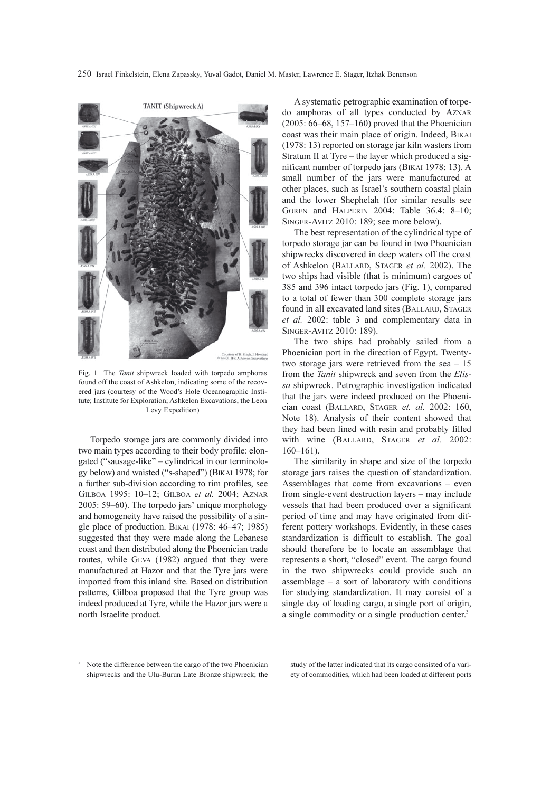250 Israel Finkelstein, Elena Zapassky, Yuval Gadot, Daniel M. Master, Lawrence E. Stager, Itzhak Benenson



Fig. 1 The *Tanit* shipwreck loaded with torpedo amphoras found off the coast of Ashkelon, indicating some of the recovered jars (courtesy of the Wood's Hole Oceanographic Institute; Institute for Exploration; Ashkelon Excavations, the Leon Levy Expedition)

Torpedo storage jars are commonly divided into two main types according to their body profile: elongated ("sausage-like" – cylindrical in our terminology below) and waisted ("s-shaped") (BIKAI 1978; for a further sub-division according to rim profiles, see GILBOA 1995: 10–12; GILBOA et al. 2004; AZNAR 2005: 59–60). The torpedo jars' unique morphology and homogeneity have raised the possibility of a single place of production. BIKAI (1978: 46–47; 1985) suggested that they were made along the Lebanese coast and then distributed along the Phoenician trade routes, while GEVA (1982) argued that they were manufactured at Hazor and that the Tyre jars were imported from this inland site. Based on distribution patterns, Gilboa proposed that the Tyre group was indeed produced at Tyre, while the Hazor jars were a north Israelite product.

A systematic petrographic examination of torpedo amphoras of all types conducted by AZNAR (2005: 66–68, 157–160) proved that the Phoenician coast was their main place of origin. Indeed, BIKAI (1978: 13) reported on storage jar kiln wasters from Stratum II at Tyre – the layer which produced a significant number of torpedo jars (BIKAI 1978: 13). A small number of the jars were manufactured at other places, such as Israel's southern coastal plain and the lower Shephelah (for similar results see GOREN and HALPERIN 2004: Table 36.4: 8–10; SINGER-AVITZ 2010: 189; see more below).

The best representation of the cylindrical type of torpedo storage jar can be found in two Phoenician shipwrecks discovered in deep waters off the coast of Ashkelon (BALLARD, STAGER et al. 2002). The two ships had visible (that is minimum) cargoes of 385 and 396 intact torpedo jars (Fig. 1), compared to a total of fewer than 300 complete storage jars found in all excavated land sites (BALLARD, STAGER et al. 2002: table 3 and complementary data in SINGER-AVITZ 2010: 189).

The two ships had probably sailed from a Phoenician port in the direction of Egypt. Twentytwo storage jars were retrieved from the sea – 15 from the *Tanit* shipwreck and seven from the *Elis*sa shipwreck. Petrographic investigation indicated that the jars were indeed produced on the Phoenician coast (BALLARD, STAGER et. al. 2002: 160, Note 18). Analysis of their content showed that they had been lined with resin and probably filled with wine (BALLARD, STAGER et al. 2002: 160–161).

The similarity in shape and size of the torpedo storage jars raises the question of standardization. Assemblages that come from excavations – even from single-event destruction layers – may include vessels that had been produced over a significant period of time and may have originated from different pottery workshops. Evidently, in these cases standardization is difficult to establish. The goal should therefore be to locate an assemblage that represents a short, "closed" event. The cargo found in the two shipwrecks could provide such an assemblage – a sort of laboratory with conditions for studying standardization. It may consist of a single day of loading cargo, a single port of origin, a single commodity or a single production center.<sup>3</sup>

Note the difference between the cargo of the two Phoenician shipwrecks and the Ulu-Burun Late Bronze shipwreck; the

study of the latter indicated that its cargo consisted of a variety of commodities, which had been loaded at different ports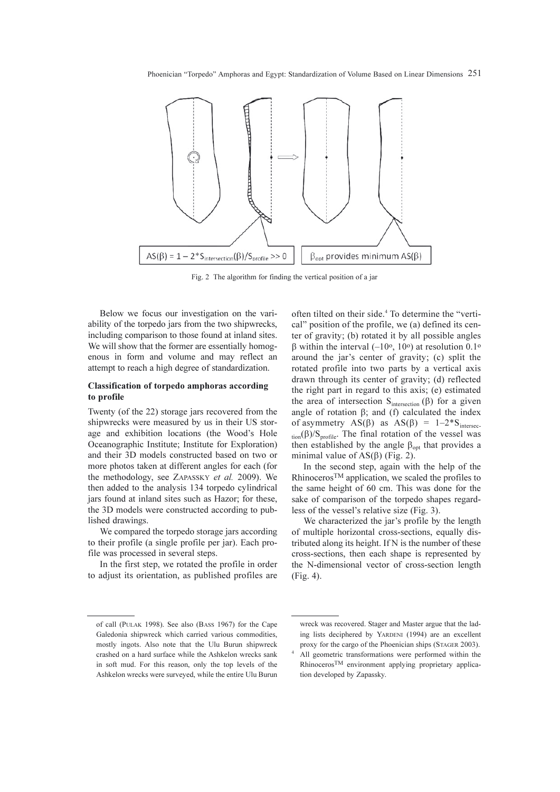Phoenician "Torpedo" Amphoras and Egypt: Standardization of Volume Based on Linear Dimensions 251



Fig. 2 The algorithm for finding the vertical position of a jar

Below we focus our investigation on the variability of the torpedo jars from the two shipwrecks, including comparison to those found at inland sites. We will show that the former are essentially homogenous in form and volume and may reflect an attempt to reach a high degree of standardization.

## Classification of torpedo amphoras according to profile

Twenty (of the 22) storage jars recovered from the shipwrecks were measured by us in their US storage and exhibition locations (the Wood's Hole Oceanographic Institute; Institute for Exploration) and their 3D models constructed based on two or more photos taken at different angles for each (for the methodology, see ZAPASSKY et al. 2009). We then added to the analysis 134 torpedo cylindrical jars found at inland sites such as Hazor; for these, the 3D models were constructed according to published drawings.

We compared the torpedo storage jars according to their profile (a single profile per jar). Each profile was processed in several steps.

In the first step, we rotated the profile in order to adjust its orientation, as published profiles are often tilted on their side.4 To determine the "vertical" position of the profile, we (a) defined its center of gravity; (b) rotated it by all possible angles β within the interval  $(-10<sup>o</sup>, 10<sup>o</sup>)$  at resolution 0.1<sup>o</sup> around the jar's center of gravity; (c) split the rotated profile into two parts by a vertical axis drawn through its center of gravity; (d) reflected the right part in regard to this axis; (e) estimated the area of intersection  $S<sub>intersection</sub> (β)$  for a given angle of rotation  $β$ ; and (f) calculated the index of asymmetry AS(β) as AS(β) =  $1-2*S$ <sub>intersec</sub> $t_{\text{ion}}(\beta)/S_{\text{profile}}$ . The final rotation of the vessel was then established by the angle  $\beta_{opt}$  that provides a minimal value of  $AS(\beta)$  (Fig. 2).

In the second step, again with the help of the RhinocerosTM application, we scaled the profiles to the same height of 60 cm. This was done for the sake of comparison of the torpedo shapes regardless of the vessel's relative size (Fig. 3).

We characterized the jar's profile by the length of multiple horizontal cross-sections, equally distributed along its height. If N is the number of these cross-sections, then each shape is represented by the N-dimensional vector of cross-section length (Fig. 4).

of call (PULAK 1998). See also (BASS 1967) for the Cape Galedonia shipwreck which carried various commodities, mostly ingots. Also note that the Ulu Burun shipwreck crashed on a hard surface while the Ashkelon wrecks sank in soft mud. For this reason, only the top levels of the Ashkelon wrecks were surveyed, while the entire Ulu Burun

wreck was recovered. Stager and Master argue that the lading lists deciphered by YARDENI (1994) are an excellent proxy for the cargo of the Phoenician ships (STAGER 2003). All geometric transformations were performed within the RhinocerosTM environment applying proprietary application developed by Zapassky.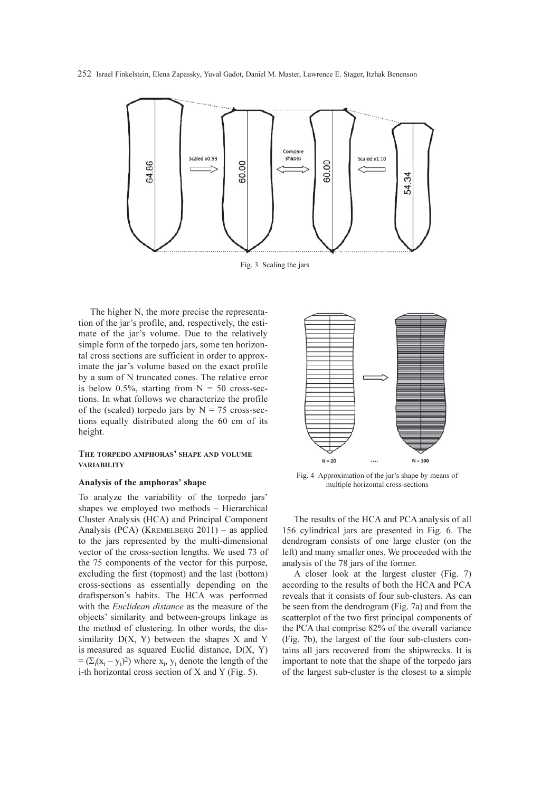252 Israel Finkelstein, Elena Zapassky, Yuval Gadot, Daniel M. Master, Lawrence E. Stager, Itzhak Benenson



Fig. 3 Scaling the jars

The higher N, the more precise the representation of the jar's profile, and, respectively, the estimate of the jar's volume. Due to the relatively simple form of the torpedo jars, some ten horizontal cross sections are sufficient in order to approximate the jar's volume based on the exact profile by a sum of N truncated cones. The relative error is below 0.5%, starting from  $N = 50$  cross-sections. In what follows we characterize the profile of the (scaled) torpedo jars by  $N = 75$  cross-sections equally distributed along the 60 cm of its height.

## THE TORPEDO AMPHORAS' SHAPE AND VOLUME VARIABILITY

## Analysis of the amphoras' shape

To analyze the variability of the torpedo jars' shapes we employed two methods – Hierarchical Cluster Analysis (HCA) and Principal Component Analysis (PCA) (KREMELBERG 2011) – as applied to the jars represented by the multi-dimensional vector of the cross-section lengths. We used 73 of the 75 components of the vector for this purpose, excluding the first (topmost) and the last (bottom) cross-sections as essentially depending on the draftsperson's habits. The HCA was performed with the *Euclidean distance* as the measure of the objects' similarity and between-groups linkage as the method of clustering. In other words, the dissimilarity  $D(X, Y)$  between the shapes  $X$  and  $Y$ is measured as squared Euclid distance, D(X, Y)  $= (\Sigma_i (x_i - y_i)^2)$  where  $x_i$ ,  $y_i$  denote the length of the i-th horizontal cross section of X and Y (Fig. 5).



Fig. 4 Approximation of the jar's shape by means of multiple horizontal cross-sections

The results of the HCA and PCA analysis of all 156 cylindrical jars are presented in Fig. 6. The dendrogram consists of one large cluster (on the left) and many smaller ones. We proceeded with the analysis of the 78 jars of the former.

A closer look at the largest cluster (Fig. 7) according to the results of both the HCA and PCA reveals that it consists of four sub-clusters. As can be seen from the dendrogram (Fig. 7a) and from the scatterplot of the two first principal components of the PCA that comprise 82% of the overall variance (Fig. 7b), the largest of the four sub-clusters contains all jars recovered from the shipwrecks. It is important to note that the shape of the torpedo jars of the largest sub-cluster is the closest to a simple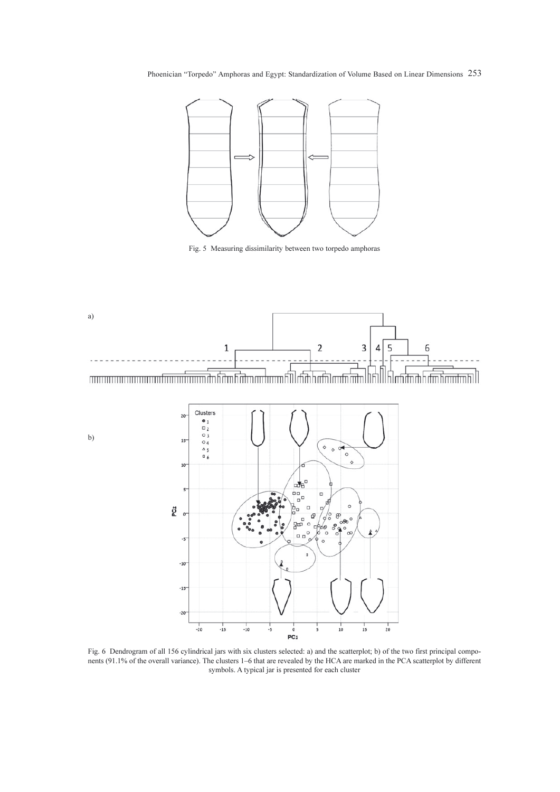Phoenician "Torpedo" Amphoras and Egypt: Standardization of Volume Based on Linear Dimensions 253



Fig. 5 Measuring dissimilarity between two torpedo amphoras





Fig. 6 Dendrogram of all 156 cylindrical jars with six clusters selected: a) and the scatterplot; b) of the two first principal components (91.1% of the overall variance). The clusters 1–6 that are revealed by the HCA are marked in the PCA scatterplot by different symbols. A typical jar is presented for each cluster

b)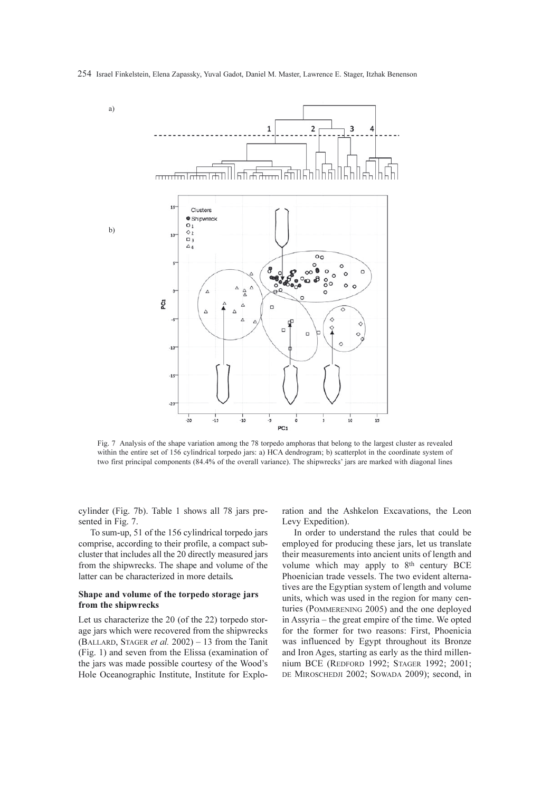

Fig. 7 Analysis of the shape variation among the 78 torpedo amphoras that belong to the largest cluster as revealed within the entire set of 156 cylindrical torpedo jars: a) HCA dendrogram; b) scatterplot in the coordinate system of two first principal components (84.4% of the overall variance). The shipwrecks' jars are marked with diagonal lines

cylinder (Fig. 7b). Table 1 shows all 78 jars presented in Fig. 7.

To sum-up, 51 of the 156 cylindrical torpedo jars comprise, according to their profile, a compact subcluster that includes all the 20 directly measured jars from the shipwrecks. The shape and volume of the latter can be characterized in more details.

## Shape and volume of the torpedo storage jars from the shipwrecks

Let us characterize the 20 (of the 22) torpedo storage jars which were recovered from the shipwrecks (BALLARD, STAGER et al.  $2002$ ) – 13 from the Tanit (Fig. 1) and seven from the Elissa (examination of the jars was made possible courtesy of the Wood's Hole Oceanographic Institute, Institute for Exploration and the Ashkelon Excavations, the Leon Levy Expedition).

In order to understand the rules that could be employed for producing these jars, let us translate their measurements into ancient units of length and volume which may apply to 8<sup>th</sup> century BCE Phoenician trade vessels. The two evident alternatives are the Egyptian system of length and volume units, which was used in the region for many centuries (POMMERENING 2005) and the one deployed in Assyria – the great empire of the time. We opted for the former for two reasons: First, Phoenicia was influenced by Egypt throughout its Bronze and Iron Ages, starting as early as the third millennium BCE (REDFORD 1992; STAGER 1992; 2001; DE MIROSCHEDJI 2002; SOWADA 2009); second, in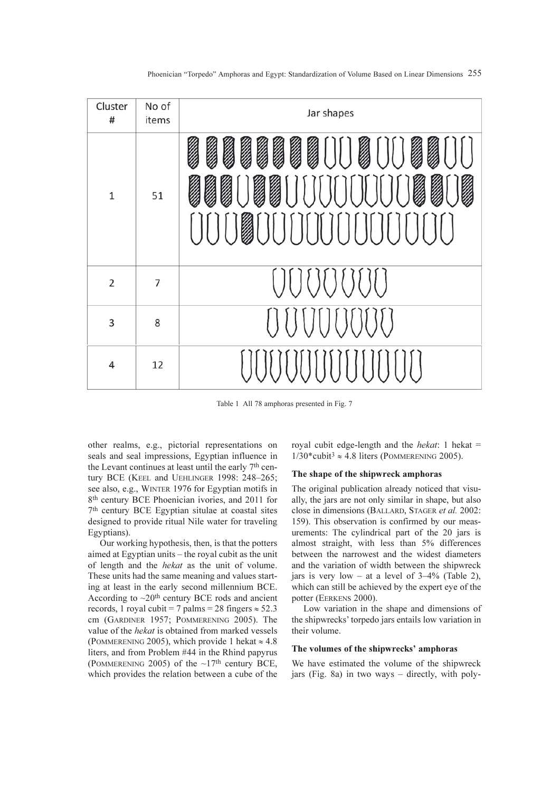| Cluster<br>#   | No of<br>items | Jar shapes          |
|----------------|----------------|---------------------|
| $\mathbf 1$    | 51             | Í<br>II<br>II<br>ነበ |
| $\overline{2}$ | $\overline{7}$ |                     |
| 3              | 8              |                     |
| 4              | 12             |                     |

Table 1 All 78 amphoras presented in Fig. 7

other realms, e.g., pictorial representations on seals and seal impressions, Egyptian influence in the Levant continues at least until the early 7th century BCE (KEEL and UEHLINGER 1998: 248–265; see also, e.g., WINTER 1976 for Egyptian motifs in 8th century BCE Phoenician ivories, and 2011 for 7th century BCE Egyptian situlae at coastal sites designed to provide ritual Nile water for traveling Egyptians).

Our working hypothesis, then, is that the potters aimed at Egyptian units – the royal cubit as the unit of length and the hekat as the unit of volume. These units had the same meaning and values starting at least in the early second millennium BCE. According to  $\sim$ 20<sup>th</sup> century BCE rods and ancient records, 1 royal cubit = 7 palms = 28 fingers  $\approx$  52.3 cm (GARDINER 1957; POMMERENING 2005). The value of the hekat is obtained from marked vessels (POMMERENING 2005), which provide 1 hekat  $\approx 4.8$ liters, and from Problem #44 in the Rhind papyrus (POMMERENING 2005) of the  $\sim$ 17<sup>th</sup> century BCE, which provides the relation between a cube of the royal cubit edge-length and the *hekat*: 1 hekat  $=$  $1/30^*$ cubit<sup>3</sup>  $\approx$  4.8 liters (POMMERENING 2005).

#### The shape of the shipwreck amphoras

The original publication already noticed that visually, the jars are not only similar in shape, but also close in dimensions (BALLARD, STAGER et al. 2002: 159). This observation is confirmed by our measurements: The cylindrical part of the 20 jars is almost straight, with less than 5% differences between the narrowest and the widest diameters and the variation of width between the shipwreck jars is very low – at a level of 3–4% (Table 2), which can still be achieved by the expert eye of the potter (EERKENS 2000).

Low variation in the shape and dimensions of the shipwrecks' torpedo jars entails low variation in their volume.

#### The volumes of the shipwrecks' amphoras

We have estimated the volume of the shipwreck jars (Fig. 8a) in two ways – directly, with poly-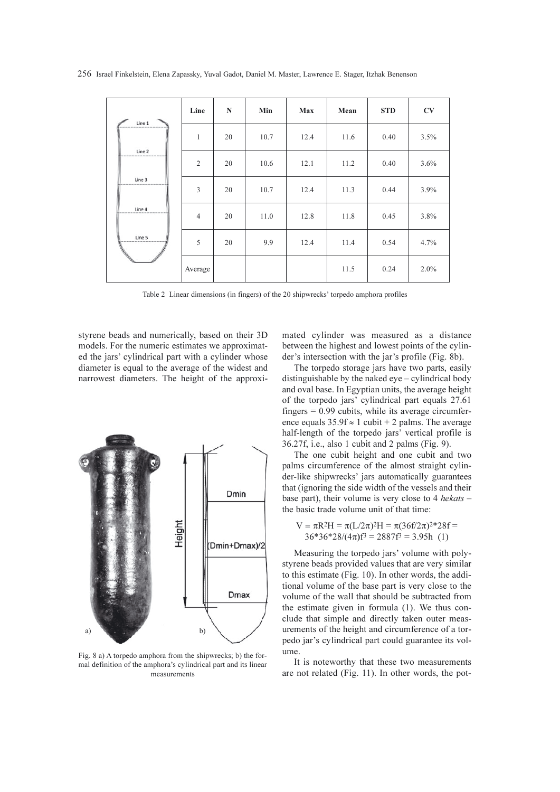256 Israel Finkelstein, Elena Zapassky, Yuval Gadot, Daniel M. Master, Lawrence E. Stager, Itzhak Benenson

| Line 1 | Line           | $\mathbf N$ | Min  | Max  | Mean | <b>STD</b> | CV   |
|--------|----------------|-------------|------|------|------|------------|------|
|        | 1              | 20          | 10.7 | 12.4 | 11.6 | 0.40       | 3.5% |
| Line 2 | $\overline{2}$ | 20          | 10.6 | 12.1 | 11.2 | 0.40       | 3.6% |
| Line 3 | 3              | 20          | 10.7 | 12.4 | 11.3 | 0.44       | 3.9% |
| Line 4 | $\overline{4}$ | 20          | 11.0 | 12.8 | 11.8 | 0.45       | 3.8% |
| Line 5 | 5              | 20          | 9.9  | 12.4 | 11.4 | 0.54       | 4.7% |
|        | Average        |             |      |      | 11.5 | 0.24       | 2.0% |

Table 2 Linear dimensions (in fingers) of the 20 shipwrecks' torpedo amphora profiles

styrene beads and numerically, based on their 3D models. For the numeric estimates we approximated the jars' cylindrical part with a cylinder whose diameter is equal to the average of the widest and narrowest diameters. The height of the approxi-



Fig. 8 a) A torpedo amphora from the shipwrecks; b) the formal definition of the amphora's cylindrical part and its linear measurements

mated cylinder was measured as a distance between the highest and lowest points of the cylinder's intersection with the jar's profile (Fig. 8b).

The torpedo storage jars have two parts, easily distinguishable by the naked eye – cylindrical body and oval base. In Egyptian units, the average height of the torpedo jars' cylindrical part equals 27.61 fingers  $= 0.99$  cubits, while its average circumference equals  $35.9f \approx 1$  cubit + 2 palms. The average half-length of the torpedo jars' vertical profile is 36.27f, i.e., also 1 cubit and 2 palms (Fig. 9).

The one cubit height and one cubit and two palms circumference of the almost straight cylinder-like shipwrecks' jars automatically guarantees that (ignoring the side width of the vessels and their base part), their volume is very close to 4 hekats – the basic trade volume unit of that time:

$$
V = \pi R^2 H = \pi (L/2\pi)^2 H = \pi (36f/2\pi)^2 * 28f = 36 * 36 * 28/(4\pi)f^3 = 2887f^3 = 3.95h
$$
 (1)

Measuring the torpedo jars' volume with polystyrene beads provided values that are very similar to this estimate (Fig. 10). In other words, the additional volume of the base part is very close to the volume of the wall that should be subtracted from the estimate given in formula (1). We thus conclude that simple and directly taken outer measurements of the height and circumference of a torpedo jar's cylindrical part could guarantee its volume.

It is noteworthy that these two measurements are not related (Fig. 11). In other words, the pot-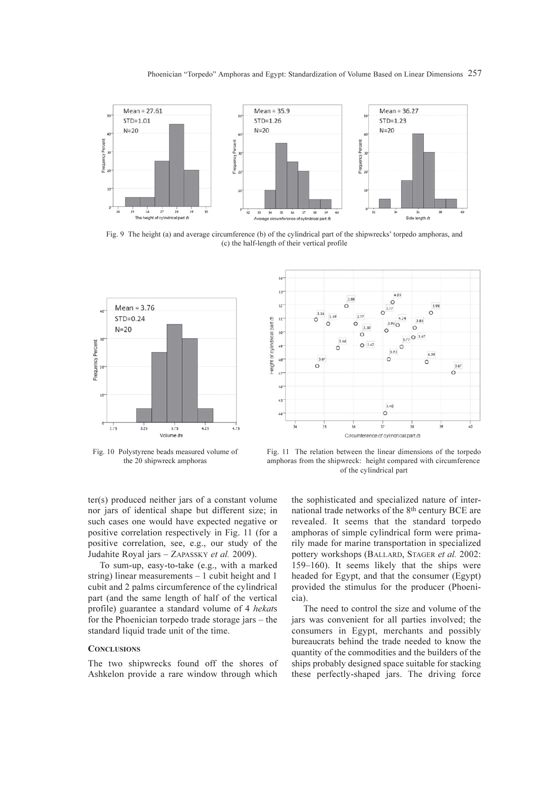

Fig. 9 The height (a) and average circumference (b) of the cylindrical part of the shipwrecks' torpedo amphoras, and (c) the half-length of their vertical profile



Fig. 10 Polystyrene beads measured volume of the 20 shipwreck amphoras



Fig. 11 The relation between the linear dimensions of the torpedo amphoras from the shipwreck: height compared with circumference of the cylindrical part

ter(s) produced neither jars of a constant volume nor jars of identical shape but different size; in such cases one would have expected negative or positive correlation respectively in Fig. 11 (for a positive correlation, see, e.g., our study of the Judahite Royal jars – ZAPASSKY et al. 2009).

To sum-up, easy-to-take (e.g., with a marked string) linear measurements – 1 cubit height and 1 cubit and 2 palms circumference of the cylindrical part (and the same length of half of the vertical profile) guarantee a standard volume of 4 hekats for the Phoenician torpedo trade storage jars – the standard liquid trade unit of the time.

#### **CONCLUSIONS**

The two shipwrecks found off the shores of Ashkelon provide a rare window through which the sophisticated and specialized nature of international trade networks of the 8th century BCE are revealed. It seems that the standard torpedo amphoras of simple cylindrical form were primarily made for marine transportation in specialized pottery workshops (BALLARD, STAGER et al. 2002: 159–160). It seems likely that the ships were headed for Egypt, and that the consumer (Egypt) provided the stimulus for the producer (Phoenicia).

The need to control the size and volume of the jars was convenient for all parties involved; the consumers in Egypt, merchants and possibly bureaucrats behind the trade needed to know the quantity of the commodities and the builders of the ships probably designed space suitable for stacking these perfectly-shaped jars. The driving force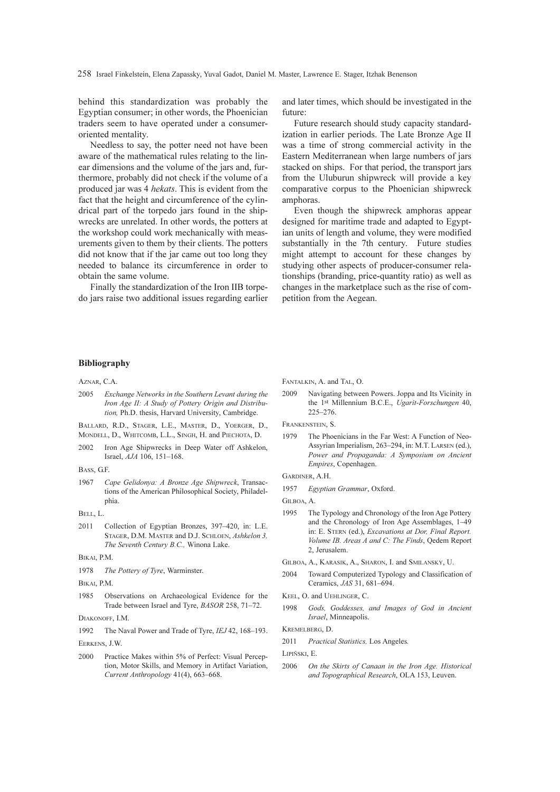258 Israel Finkelstein, Elena Zapassky, Yuval Gadot, Daniel M. Master, Lawrence E. Stager, Itzhak Benenson

behind this standardization was probably the Egyptian consumer; in other words, the Phoenician traders seem to have operated under a consumeroriented mentality.

Needless to say, the potter need not have been aware of the mathematical rules relating to the linear dimensions and the volume of the jars and, furthermore, probably did not check if the volume of a produced jar was 4 hekats. This is evident from the fact that the height and circumference of the cylindrical part of the torpedo jars found in the shipwrecks are unrelated. In other words, the potters at the workshop could work mechanically with measurements given to them by their clients. The potters did not know that if the jar came out too long they needed to balance its circumference in order to obtain the same volume.

Finally the standardization of the Iron IIB torpedo jars raise two additional issues regarding earlier and later times, which should be investigated in the future:

Future research should study capacity standardization in earlier periods. The Late Bronze Age II was a time of strong commercial activity in the Eastern Mediterranean when large numbers of jars stacked on ships. For that period, the transport jars from the Uluburun shipwreck will provide a key comparative corpus to the Phoenician shipwreck amphoras.

Even though the shipwreck amphoras appear designed for maritime trade and adapted to Egyptian units of length and volume, they were modified substantially in the 7th century. Future studies might attempt to account for these changes by studying other aspects of producer-consumer relationships (branding, price-quantity ratio) as well as changes in the marketplace such as the rise of competition from the Aegean.

#### Bibliography

AZNAR, C.A.

2005 Exchange Networks in the Southern Levant during the Iron Age II: A Study of Pottery Origin and Distribution, Ph.D. thesis, Harvard University, Cambridge.

BALLARD, R.D., STAGER, L.E., MASTER, D., YOERGER, D., MONDELL, D., WHITCOMB, L.L., SINGH, H. and PIECHOTA, D.

2002 Iron Age Shipwrecks in Deep Water off Ashkelon, Israel, AJA 106, 151–168.

1967 Cape Gelidonya: A Bronze Age Shipwreck, Transactions of the American Philosophical Society, Philadelphia.

- 2011 Collection of Egyptian Bronzes, 397–420, in: L.E. STAGER, D.M. MASTER and D.J. SCHLOEN, Ashkelon 3, The Seventh Century B.C., Winona Lake.
- BIKAI, P.M.
- 1978 The Pottery of Tyre, Warminster.
- BIKAI, P.M.
- 1985 Observations on Archaeological Evidence for the Trade between Israel and Tyre, BASOR 258, 71–72.

DIAKONOFF, I.M.

1992 The Naval Power and Trade of Tyre, IEJ 42, 168–193.

EERKENS, J.W.

2000 Practice Makes within 5% of Perfect: Visual Perception, Motor Skills, and Memory in Artifact Variation, Current Anthropology 41(4), 663–668.

FANTALKIN, A. and TAL, O.

2009 Navigating between Powers. Joppa and Its Vicinity in the 1st Millennium B.C.E., Ugarit-Forschungen 40, 225–276.

FRANKENSTEIN, S.

1979 The Phoenicians in the Far West: A Function of Neo-Assyrian Imperialism, 263–294, in: M.T. LARSEN (ed.), Power and Propaganda: A Symposium on Ancient Empires, Copenhagen.

GARDINER, A.H.

1957 Egyptian Grammar, Oxford.

GILBOA, A.

- 1995 The Typology and Chronology of the Iron Age Pottery and the Chronology of Iron Age Assemblages, 1–49 in: E. STERN (ed.), Excavations at Dor, Final Report. Volume IB. Areas A and C: The Finds, Qedem Report 2, Jerusalem.
- GILBOA, A., KARASIK, A., SHARON, I. and SMILANSKY, U.
- 2004 Toward Computerized Typology and Classification of Ceramics, JAS 31, 681–694.
- KEEL, O. and UEHLINGER, C.
- 1998 Gods, Goddesses, and Images of God in Ancient Israel, Minneapolis.

KREMELBERG, D.

2011 Practical Statistics, Los Angeles.

LIPIÑSKI, E.

2006 On the Skirts of Canaan in the Iron Age. Historical and Topographical Research, OLA 153, Leuven.

BASS, G.F.

BELL, L.